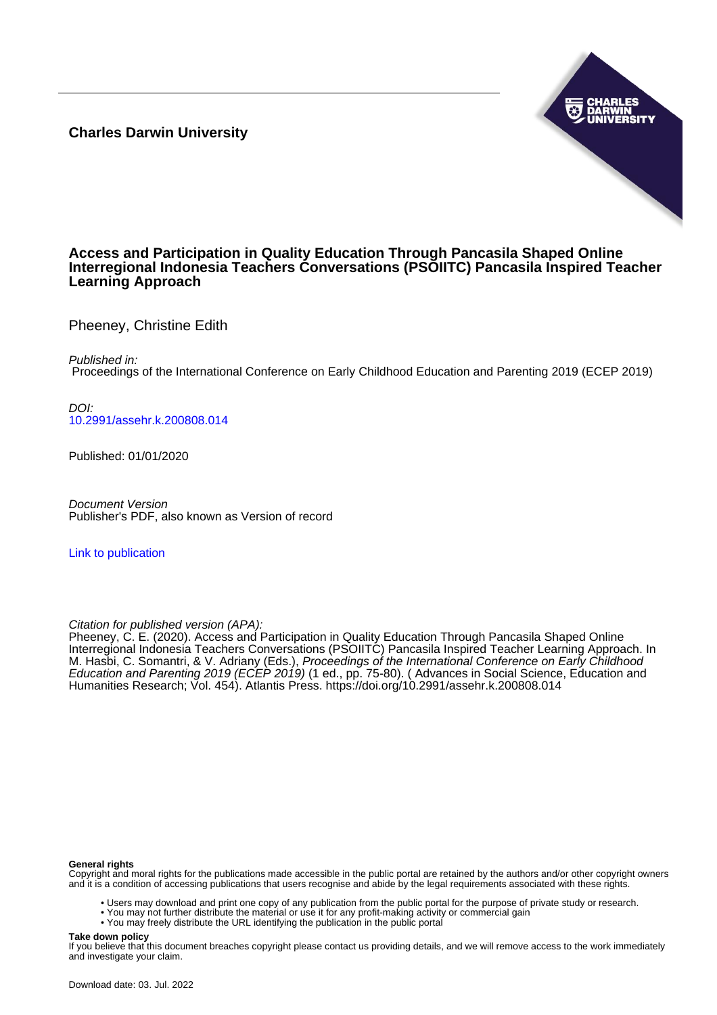**Charles Darwin University**



#### **Access and Participation in Quality Education Through Pancasila Shaped Online Interregional Indonesia Teachers Conversations (PSOIITC) Pancasila Inspired Teacher Learning Approach**

Pheeney, Christine Edith

Published in:

Proceedings of the International Conference on Early Childhood Education and Parenting 2019 (ECEP 2019)

DOI: [10.2991/assehr.k.200808.014](https://doi.org/10.2991/assehr.k.200808.014)

Published: 01/01/2020

Document Version Publisher's PDF, also known as Version of record

[Link to publication](https://researchers.cdu.edu.au/en/publications/f62492ab-15c1-4ee3-821c-a6e96087fa1a)

Citation for published version (APA):

Pheeney, C. E. (2020). Access and Participation in Quality Education Through Pancasila Shaped Online Interregional Indonesia Teachers Conversations (PSOIITC) Pancasila Inspired Teacher Learning Approach. In M. Hasbi, C. Somantri, & V. Adriany (Eds.), *Proceedings of the International Conference on Early Childhoo*d Education and Parenting 2019 (ECEP 2019) (1 ed., pp. 75-80). (Advances in Social Science, Education and Humanities Research; Vol. 454). Atlantis Press.<https://doi.org/10.2991/assehr.k.200808.014>

#### **General rights**

Copyright and moral rights for the publications made accessible in the public portal are retained by the authors and/or other copyright owners and it is a condition of accessing publications that users recognise and abide by the legal requirements associated with these rights.

- Users may download and print one copy of any publication from the public portal for the purpose of private study or research.
- You may not further distribute the material or use it for any profit-making activity or commercial gain
- You may freely distribute the URL identifying the publication in the public portal

#### **Take down policy**

If you believe that this document breaches copyright please contact us providing details, and we will remove access to the work immediately and investigate your claim.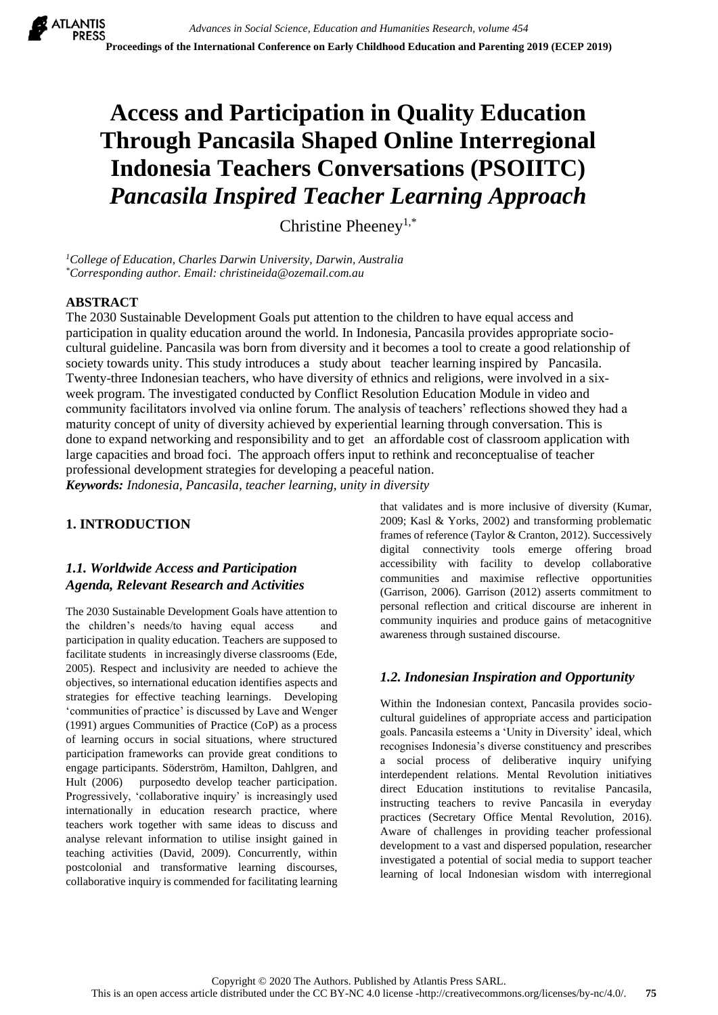# **Access and Participation in Quality Education Through Pancasila Shaped Online Interregional Indonesia Teachers Conversations (PSOIITC)** *Pancasila Inspired Teacher Learning Approach*

Christine Pheeney1,\*

*<sup>1</sup>College of Education, Charles Darwin University, Darwin, Australia \*Corresponding author. Email: christineida@ozemail.com.au*

#### **ABSTRACT**

The 2030 Sustainable Development Goals put attention to the children to have equal access and participation in quality education around the world. In Indonesia, Pancasila provides appropriate sociocultural guideline. Pancasila was born from diversity and it becomes a tool to create a good relationship of society towards unity. This study introduces a study about teacher learning inspired by Pancasila. Twenty-three Indonesian teachers, who have diversity of ethnics and religions, were involved in a sixweek program. The investigated conducted by Conflict Resolution Education Module in video and community facilitators involved via online forum. The analysis of teachers' reflections showed they had a maturity concept of unity of diversity achieved by experiential learning through conversation. This is done to expand networking and responsibility and to get an affordable cost of classroom application with large capacities and broad foci. The approach offers input to rethink and reconceptualise of teacher professional development strategies for developing a peaceful nation.

*Keywords: Indonesia, Pancasila, teacher learning, unity in diversity*

## **1. INTRODUCTION**

## *1.1. Worldwide Access and Participation Agenda, Relevant Research and Activities*

The 2030 Sustainable Development Goals have attention to the children's needs/to having equal access and participation in quality education. Teachers are supposed to facilitate students in increasingly diverse classrooms (Ede, 2005). Respect and inclusivity are needed to achieve the objectives, so international education identifies aspects and strategies for effective teaching learnings. Developing 'communities of practice' is discussed by Lave and Wenger (1991) argues Communities of Practice (CoP) as a process of learning occurs in social situations, where structured participation frameworks can provide great conditions to engage participants. Söderström, Hamilton, Dahlgren, and Hult (2006) purposedto develop teacher participation. Progressively, 'collaborative inquiry' is increasingly used internationally in education research practice, where teachers work together with same ideas to discuss and analyse relevant information to utilise insight gained in teaching activities (David, 2009). Concurrently, within postcolonial and transformative learning discourses, collaborative inquiry is commended for facilitating learning

that validates and is more inclusive of diversity (Kumar, 2009; Kasl & Yorks, 2002) and transforming problematic frames of reference (Taylor & Cranton, 2012). Successively digital connectivity tools emerge offering broad accessibility with facility to develop collaborative communities and maximise reflective opportunities (Garrison, 2006). Garrison (2012) asserts commitment to personal reflection and critical discourse are inherent in community inquiries and produce gains of metacognitive awareness through sustained discourse.

## *1.2. Indonesian Inspiration and Opportunity*

Within the Indonesian context, Pancasila provides sociocultural guidelines of appropriate access and participation goals. Pancasila esteems a 'Unity in Diversity' ideal, which recognises Indonesia's diverse constituency and prescribes a social process of deliberative inquiry unifying interdependent relations. Mental Revolution initiatives direct Education institutions to revitalise Pancasila, instructing teachers to revive Pancasila in everyday practices (Secretary Office Mental Revolution, 2016). Aware of challenges in providing teacher professional development to a vast and dispersed population, researcher investigated a potential of social media to support teacher learning of local Indonesian wisdom with interregional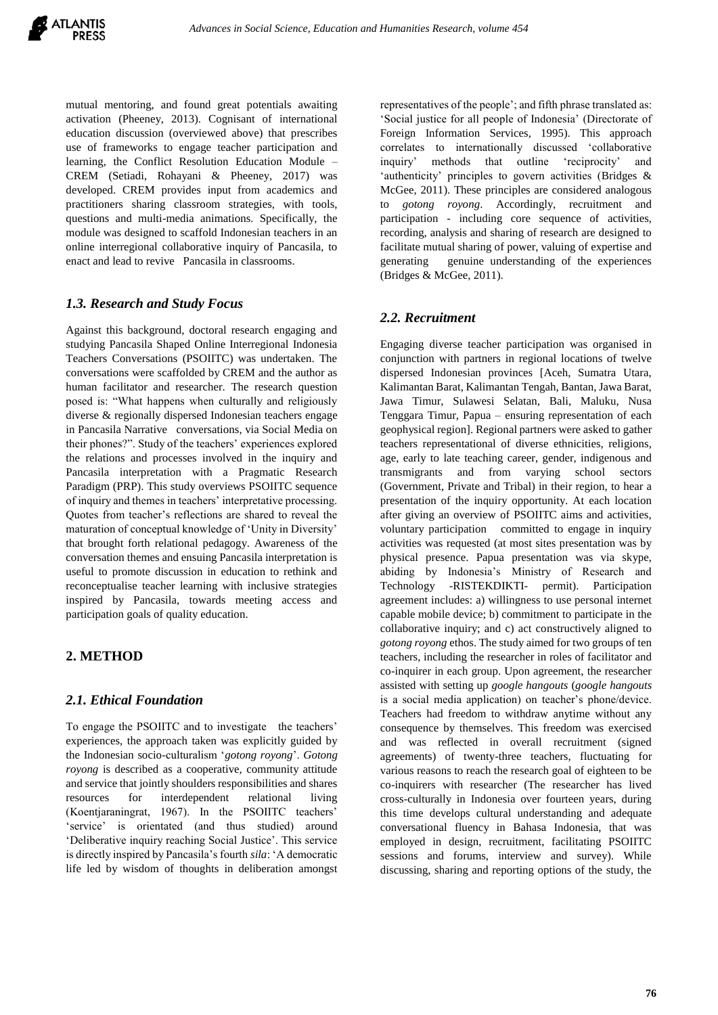mutual mentoring, and found great potentials awaiting activation (Pheeney, 2013). Cognisant of international education discussion (overviewed above) that prescribes use of frameworks to engage teacher participation and learning, the Conflict Resolution Education Module – CREM (Setiadi, Rohayani & Pheeney, 2017) was developed. CREM provides input from academics and practitioners sharing classroom strategies, with tools, questions and multi-media animations. Specifically, the module was designed to scaffold Indonesian teachers in an online interregional collaborative inquiry of Pancasila, to enact and lead to revive Pancasila in classrooms.

#### *1.3. Research and Study Focus*

Against this background, doctoral research engaging and studying Pancasila Shaped Online Interregional Indonesia Teachers Conversations (PSOIITC) was undertaken. The conversations were scaffolded by CREM and the author as human facilitator and researcher. The research question posed is: "What happens when culturally and religiously diverse & regionally dispersed Indonesian teachers engage in Pancasila Narrative conversations, via Social Media on their phones?". Study of the teachers' experiences explored the relations and processes involved in the inquiry and Pancasila interpretation with a Pragmatic Research Paradigm (PRP). This study overviews PSOIITC sequence of inquiry and themes in teachers' interpretative processing. Quotes from teacher's reflections are shared to reveal the maturation of conceptual knowledge of 'Unity in Diversity' that brought forth relational pedagogy. Awareness of the conversation themes and ensuing Pancasila interpretation is useful to promote discussion in education to rethink and reconceptualise teacher learning with inclusive strategies inspired by Pancasila, towards meeting access and participation goals of quality education.

## **2. METHOD**

#### *2.1. Ethical Foundation*

To engage the PSOIITC and to investigate the teachers' experiences, the approach taken was explicitly guided by the Indonesian socio-culturalism '*gotong royong*'. *Gotong royong* is described as a cooperative, community attitude and service that jointly shoulders responsibilities and shares resources for interdependent relational living (Koentjaraningrat, 1967). In the PSOIITC teachers' 'service' is orientated (and thus studied) around 'Deliberative inquiry reaching Social Justice'. This service is directly inspired by Pancasila's fourth *sila*: 'A democratic life led by wisdom of thoughts in deliberation amongst

representatives of the people'; and fifth phrase translated as: 'Social justice for all people of Indonesia' (Directorate of Foreign Information Services, 1995). This approach correlates to internationally discussed 'collaborative inquiry' methods that outline 'reciprocity' and 'authenticity' principles to govern activities (Bridges & McGee, 2011). These principles are considered analogous to *gotong royong*. Accordingly, recruitment and participation - including core sequence of activities, recording, analysis and sharing of research are designed to facilitate mutual sharing of power, valuing of expertise and generating genuine understanding of the experiences (Bridges & McGee, 2011).

#### *2.2. Recruitment*

Engaging diverse teacher participation was organised in conjunction with partners in regional locations of twelve dispersed Indonesian provinces [Aceh, Sumatra Utara, Kalimantan Barat, Kalimantan Tengah, Bantan, Jawa Barat, Jawa Timur, Sulawesi Selatan, Bali, Maluku, Nusa Tenggara Timur, Papua – ensuring representation of each geophysical region]. Regional partners were asked to gather teachers representational of diverse ethnicities, religions, age, early to late teaching career, gender, indigenous and transmigrants and from varying school sectors (Government, Private and Tribal) in their region, to hear a presentation of the inquiry opportunity. At each location after giving an overview of PSOIITC aims and activities, voluntary participation committed to engage in inquiry activities was requested (at most sites presentation was by physical presence. Papua presentation was via skype, abiding by Indonesia's Ministry of Research and Technology -RISTEKDIKTI- permit). Participation agreement includes: a) willingness to use personal internet capable mobile device; b) commitment to participate in the collaborative inquiry; and c) act constructively aligned to *gotong royong* ethos. The study aimed for two groups of ten teachers, including the researcher in roles of facilitator and co-inquirer in each group. Upon agreement, the researcher assisted with setting up *google hangouts* (*google hangouts* is a social media application) on teacher's phone/device. Teachers had freedom to withdraw anytime without any consequence by themselves. This freedom was exercised and was reflected in overall recruitment (signed agreements) of twenty-three teachers, fluctuating for various reasons to reach the research goal of eighteen to be co-inquirers with researcher (The researcher has lived cross-culturally in Indonesia over fourteen years, during this time develops cultural understanding and adequate conversational fluency in Bahasa Indonesia, that was employed in design, recruitment, facilitating PSOIITC sessions and forums, interview and survey). While discussing, sharing and reporting options of the study, the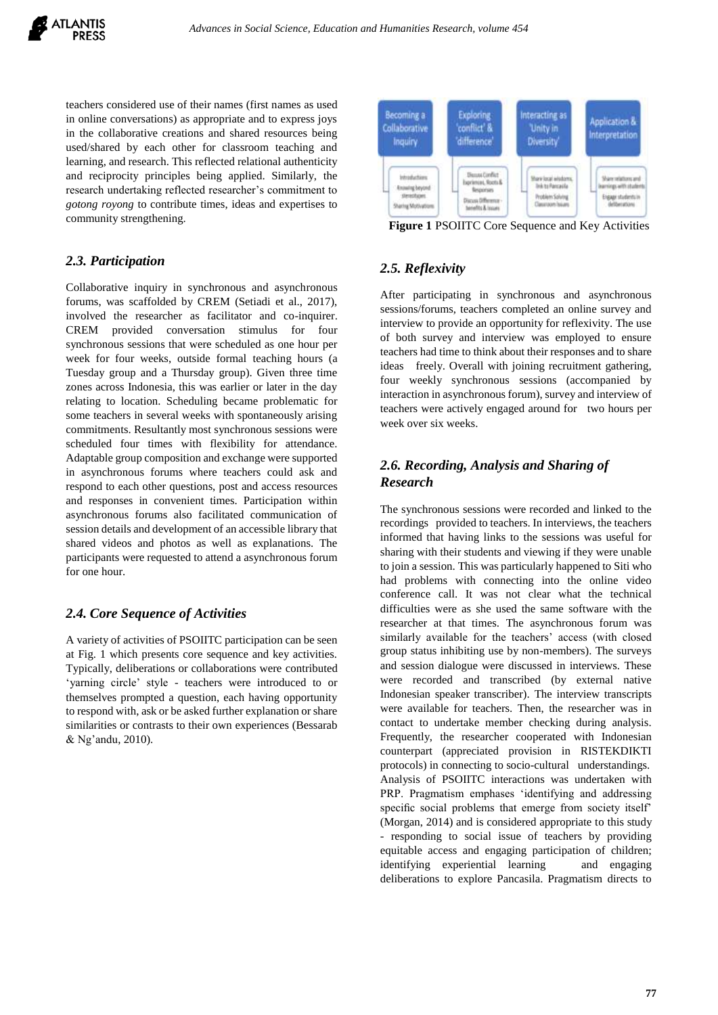teachers considered use of their names (first names as used in online conversations) as appropriate and to express joys in the collaborative creations and shared resources being used/shared by each other for classroom teaching and learning, and research. This reflected relational authenticity and reciprocity principles being applied. Similarly, the research undertaking reflected researcher's commitment to *gotong royong* to contribute times, ideas and expertises to community strengthening.

#### *2.3. Participation*

Collaborative inquiry in synchronous and asynchronous forums, was scaffolded by CREM (Setiadi et al., 2017), involved the researcher as facilitator and co-inquirer. CREM provided conversation stimulus for four synchronous sessions that were scheduled as one hour per week for four weeks, outside formal teaching hours (a Tuesday group and a Thursday group). Given three time zones across Indonesia, this was earlier or later in the day relating to location. Scheduling became problematic for some teachers in several weeks with spontaneously arising commitments. Resultantly most synchronous sessions were scheduled four times with flexibility for attendance. Adaptable group composition and exchange were supported in asynchronous forums where teachers could ask and respond to each other questions, post and access resources and responses in convenient times. Participation within asynchronous forums also facilitated communication of session details and development of an accessible library that shared videos and photos as well as explanations. The participants were requested to attend a asynchronous forum for one hour.

#### *2.4. Core Sequence of Activities*

A variety of activities of PSOIITC participation can be seen at Fig. 1 which presents core sequence and key activities. Typically, deliberations or collaborations were contributed 'yarning circle' style - teachers were introduced to or themselves prompted a question, each having opportunity to respond with, ask or be asked further explanation or share similarities or contrasts to their own experiences (Bessarab & Ng'andu, 2010).



**Figure 1** PSOIITC Core Sequence and Key Activities

# *2.5. Reflexivity*

After participating in synchronous and asynchronous sessions/forums, teachers completed an online survey and interview to provide an opportunity for reflexivity. The use of both survey and interview was employed to ensure teachers had time to think about their responses and to share ideas freely. Overall with joining recruitment gathering, four weekly synchronous sessions (accompanied by interaction in asynchronous forum), survey and interview of teachers were actively engaged around for two hours per week over six weeks.

# *2.6. Recording, Analysis and Sharing of Research*

The synchronous sessions were recorded and linked to the recordings provided to teachers. In interviews, the teachers informed that having links to the sessions was useful for sharing with their students and viewing if they were unable to join a session. This was particularly happened to Siti who had problems with connecting into the online video conference call. It was not clear what the technical difficulties were as she used the same software with the researcher at that times. The asynchronous forum was similarly available for the teachers' access (with closed group status inhibiting use by non-members). The surveys and session dialogue were discussed in interviews. These were recorded and transcribed (by external native Indonesian speaker transcriber). The interview transcripts were available for teachers. Then, the researcher was in contact to undertake member checking during analysis. Frequently, the researcher cooperated with Indonesian counterpart (appreciated provision in RISTEKDIKTI protocols) in connecting to socio-cultural understandings. Analysis of PSOIITC interactions was undertaken with PRP. Pragmatism emphases 'identifying and addressing specific social problems that emerge from society itself' (Morgan, 2014) and is considered appropriate to this study - responding to social issue of teachers by providing equitable access and engaging participation of children; identifying experiential learning and engaging deliberations to explore Pancasila. Pragmatism directs to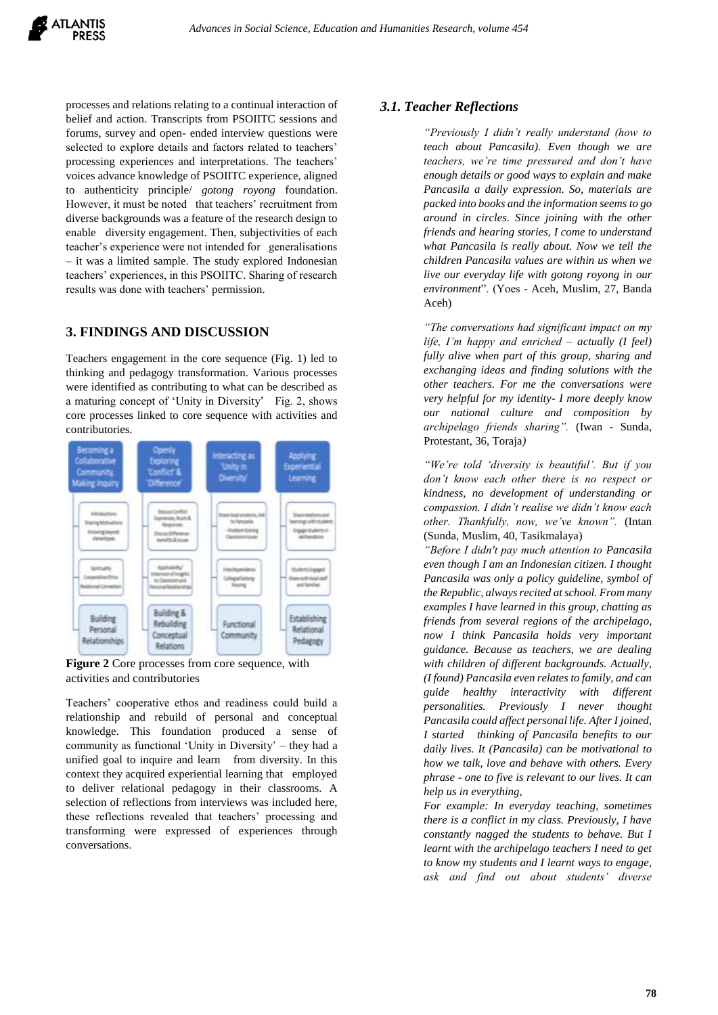processes and relations relating to a continual interaction of belief and action. Transcripts from PSOIITC sessions and forums, survey and open- ended interview questions were selected to explore details and factors related to teachers' processing experiences and interpretations. The teachers' voices advance knowledge of PSOIITC experience, aligned to authenticity principle/ *gotong royong* foundation. However, it must be noted that teachers' recruitment from diverse backgrounds was a feature of the research design to enable diversity engagement. Then, subjectivities of each teacher's experience were not intended for generalisations – it was a limited sample. The study explored Indonesian teachers' experiences, in this PSOIITC. Sharing of research results was done with teachers' permission.

#### **3. FINDINGS AND DISCUSSION**

Teachers engagement in the core sequence (Fig. 1) led to thinking and pedagogy transformation. Various processes were identified as contributing to what can be described as a maturing concept of 'Unity in Diversity' Fig. 2, shows core processes linked to core sequence with activities and contributories.



**Figure 2** Core processes from core sequence, with activities and contributories

Teachers' cooperative ethos and readiness could build a relationship and rebuild of personal and conceptual knowledge. This foundation produced a sense of community as functional 'Unity in Diversity' – they had a unified goal to inquire and learn from diversity. In this context they acquired experiential learning that employed to deliver relational pedagogy in their classrooms. A selection of reflections from interviews was included here, these reflections revealed that teachers' processing and transforming were expressed of experiences through conversations.

#### *3.1. Teacher Reflections*

*"Previously I didn't really understand (how to teach about Pancasila). Even though we are teachers, we're time pressured and don't have enough details or good ways to explain and make Pancasila a daily expression. So, materials are packed into books and the information seems to go around in circles. Since joining with the other friends and hearing stories, I come to understand what Pancasila is really about. Now we tell the children Pancasila values are within us when we live our everyday life with gotong royong in our environment*". (Yoes - Aceh, Muslim, 27, Banda Aceh)

*"The conversations had significant impact on my life, I'm happy and enriched – actually (I feel) fully alive when part of this group, sharing and exchanging ideas and finding solutions with the other teachers. For me the conversations were very helpful for my identity- I more deeply know our national culture and composition by archipelago friends sharing".* (Iwan - Sunda, Protestant, 36, Toraja*)*

*"We're told 'diversity is beautiful'. But if you don't know each other there is no respect or kindness, no development of understanding or compassion. I didn't realise we didn't know each other. Thankfully, now, we've known".* (Intan (Sunda, Muslim, 40, Tasikmalaya)

*"Before I didn't pay much attention to Pancasila even though I am an Indonesian citizen. I thought Pancasila was only a policy guideline, symbol of the Republic, always recited at school. From many examples I have learned in this group, chatting as friends from several regions of the archipelago, now I think Pancasila holds very important guidance. Because as teachers, we are dealing with children of different backgrounds. Actually, (I found) Pancasila even relates to family, and can guide healthy interactivity with different personalities. Previously I never thought Pancasila could affect personal life. After I joined, I started thinking of Pancasila benefits to our daily lives. It (Pancasila) can be motivational to how we talk, love and behave with others. Every phrase - one to five is relevant to our lives. It can help us in everything,*

*For example: In everyday teaching, sometimes there is a conflict in my class. Previously, I have constantly nagged the students to behave. But I learnt with the archipelago teachers I need to get to know my students and I learnt ways to engage, ask and find out about students' diverse*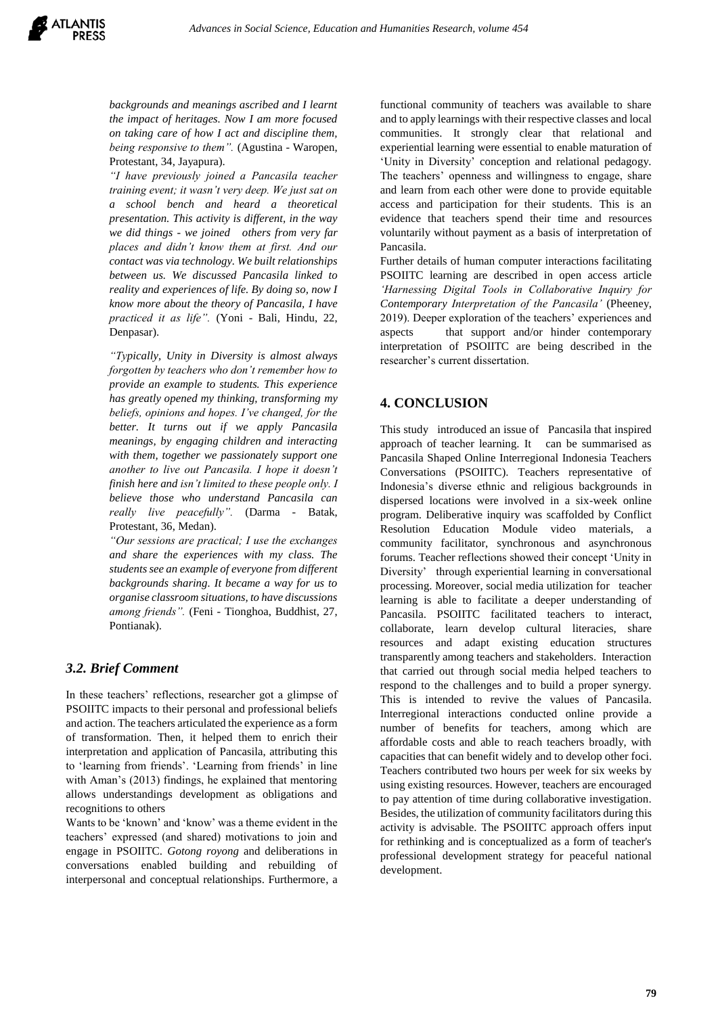*backgrounds and meanings ascribed and I learnt the impact of heritages. Now I am more focused on taking care of how I act and discipline them, being responsive to them".* (Agustina - Waropen, Protestant, 34, Jayapura).

*"I have previously joined a Pancasila teacher training event; it wasn't very deep. We just sat on a school bench and heard a theoretical presentation. This activity is different, in the way we did things - we joined others from very far places and didn't know them at first. And our contact was via technology. We built relationships between us. We discussed Pancasila linked to reality and experiences of life. By doing so, now I know more about the theory of Pancasila, I have practiced it as life".* (Yoni - Bali, Hindu, 22, Denpasar).

*"Typically, Unity in Diversity is almost always forgotten by teachers who don't remember how to provide an example to students. This experience has greatly opened my thinking, transforming my beliefs, opinions and hopes. I've changed, for the better. It turns out if we apply Pancasila meanings, by engaging children and interacting with them, together we passionately support one another to live out Pancasila. I hope it doesn't finish here and isn't limited to these people only. I believe those who understand Pancasila can really live peacefully".* (Darma - Batak, Protestant, 36, Medan).

*"Our sessions are practical; I use the exchanges and share the experiences with my class. The students see an example of everyone from different backgrounds sharing. It became a way for us to organise classroom situations, to have discussions among friends".* (Feni - Tionghoa, Buddhist, 27, Pontianak).

#### *3.2. Brief Comment*

In these teachers' reflections, researcher got a glimpse of PSOIITC impacts to their personal and professional beliefs and action. The teachers articulated the experience as a form of transformation. Then, it helped them to enrich their interpretation and application of Pancasila, attributing this to 'learning from friends'. 'Learning from friends' in line with Aman's (2013) findings, he explained that mentoring allows understandings development as obligations and recognitions to others

Wants to be 'known' and 'know' was a theme evident in the teachers' expressed (and shared) motivations to join and engage in PSOIITC. *Gotong royong* and deliberations in conversations enabled building and rebuilding of interpersonal and conceptual relationships. Furthermore, a

functional community of teachers was available to share and to apply learnings with their respective classes and local communities. It strongly clear that relational and experiential learning were essential to enable maturation of 'Unity in Diversity' conception and relational pedagogy. The teachers' openness and willingness to engage, share and learn from each other were done to provide equitable access and participation for their students. This is an evidence that teachers spend their time and resources voluntarily without payment as a basis of interpretation of Pancasila.

Further details of human computer interactions facilitating PSOIITC learning are described in open access article *'Harnessing Digital Tools in Collaborative Inquiry for Contemporary Interpretation of the Pancasila'* (Pheeney, 2019). Deeper exploration of the teachers' experiences and aspects that support and/or hinder contemporary interpretation of PSOIITC are being described in the researcher's current dissertation.

## **4. CONCLUSION**

This study introduced an issue of Pancasila that inspired approach of teacher learning. It can be summarised as Pancasila Shaped Online Interregional Indonesia Teachers Conversations (PSOIITC). Teachers representative of Indonesia's diverse ethnic and religious backgrounds in dispersed locations were involved in a six-week online program. Deliberative inquiry was scaffolded by Conflict Resolution Education Module video materials, a community facilitator, synchronous and asynchronous forums. Teacher reflections showed their concept 'Unity in Diversity' through experiential learning in conversational processing. Moreover, social media utilization for teacher learning is able to facilitate a deeper understanding of Pancasila. PSOIITC facilitated teachers to interact, collaborate, learn develop cultural literacies, share resources and adapt existing education structures transparently among teachers and stakeholders. Interaction that carried out through social media helped teachers to respond to the challenges and to build a proper synergy. This is intended to revive the values of Pancasila. Interregional interactions conducted online provide a number of benefits for teachers, among which are affordable costs and able to reach teachers broadly, with capacities that can benefit widely and to develop other foci. Teachers contributed two hours per week for six weeks by using existing resources. However, teachers are encouraged to pay attention of time during collaborative investigation. Besides, the utilization of community facilitators during this activity is advisable. The PSOIITC approach offers input for rethinking and is conceptualized as a form of teacher's professional development strategy for peaceful national development.